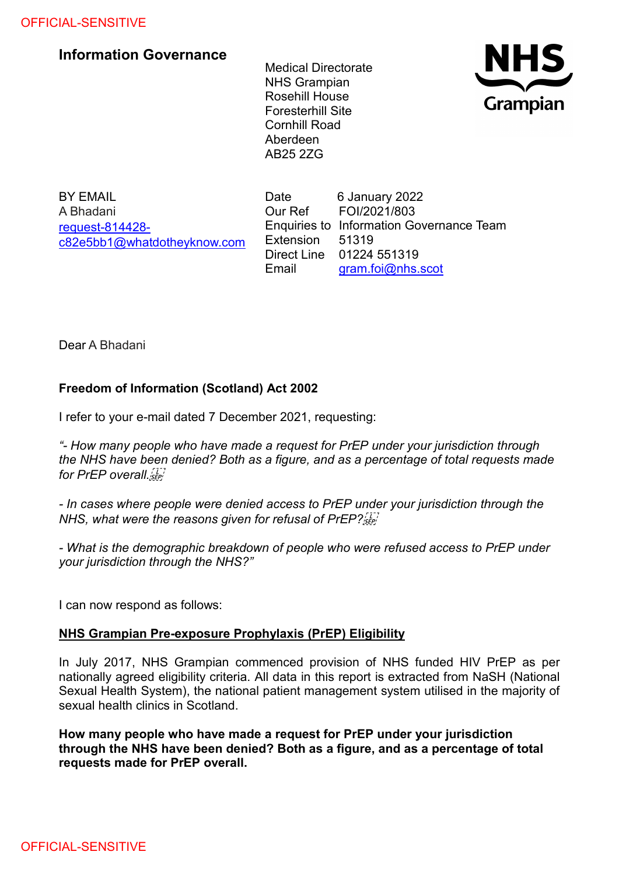## OFFICIAL-SENSITIVE

## **Information Governance**

Medical Directorate NHS Grampian Rosehill House Foresterhill Site Cornhill Road Aberdeen AB25 2ZG



BY EMAIL A Bhadani [request-814428](mailto:xxxxxxxxxxxxxxxxxxxxxxx@xxxxxxxxxxxxxx.xxx) [c82e5bb1@whatdotheyknow.com](mailto:xxxxxxxxxxxxxxxxxxxxxxx@xxxxxxxxxxxxxx.xxx) Date 6 January 2022 Our Ref FOI/2021/803 Enquiries to Information Governance Team Extension 51319 Direct Line 01224 551319 Email [gram.foi@nhs.scot](mailto:xxxx.xxx@xxx.xxxx)

Dear A Bhadani

## **Freedom of Information (Scotland) Act 2002**

I refer to your e-mail dated 7 December 2021, requesting:

*"- How many people who have made a request for PrEP under your jurisdiction through the NHS have been denied? Both as a figure, and as a percentage of total requests made for PrEP overall.*

*- In cases where people were denied access to PrEP under your jurisdiction through the NHS, what were the reasons given for refusal of PrEP?*

*- What is the demographic breakdown of people who were refused access to PrEP under your jurisdiction through the NHS?"*

I can now respond as follows:

## **NHS Grampian Pre-exposure Prophylaxis (PrEP) Eligibility**

In July 2017, NHS Grampian commenced provision of NHS funded HIV PrEP as per nationally agreed eligibility criteria. All data in this report is extracted from NaSH (National Sexual Health System), the national patient management system utilised in the majority of sexual health clinics in Scotland.

**How many people who have made a request for PrEP under your jurisdiction through the NHS have been denied? Both as a figure, and as a percentage of total requests made for PrEP overall.**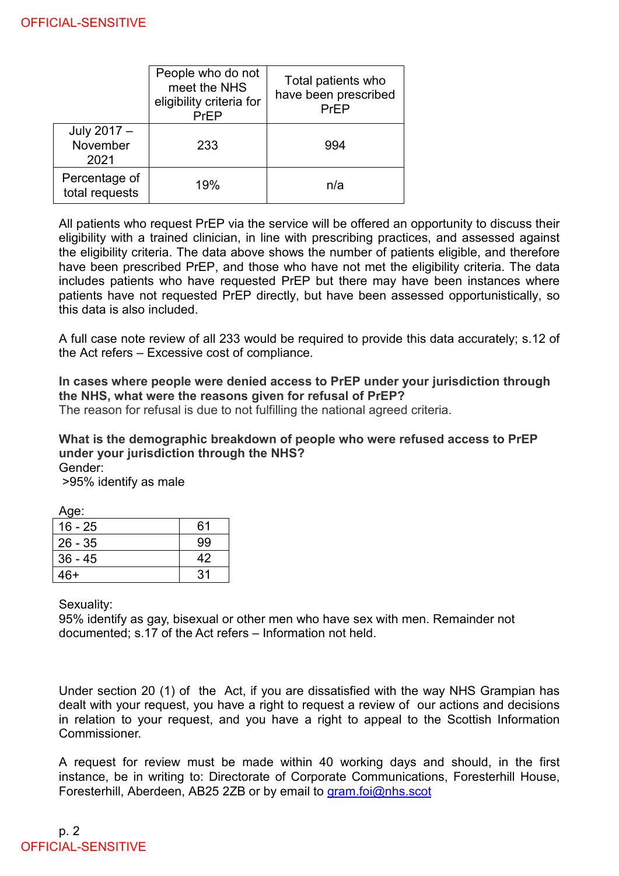|                                 | People who do not<br>meet the NHS<br>eligibility criteria for<br>PrEP | Total patients who<br>have been prescribed<br>PrEP |
|---------------------------------|-----------------------------------------------------------------------|----------------------------------------------------|
| July 2017 -<br>November<br>2021 | 233                                                                   | 994                                                |
| Percentage of<br>total requests | 19%                                                                   | n/a                                                |

All patients who request PrEP via the service will be offered an opportunity to discuss their eligibility with a trained clinician, in line with prescribing practices, and assessed against the eligibility criteria. The data above shows the number of patients eligible, and therefore have been prescribed PrEP, and those who have not met the eligibility criteria. The data includes patients who have requested PrEP but there may have been instances where patients have not requested PrEP directly, but have been assessed opportunistically, so this data is also included.

A full case note review of all 233 would be required to provide this data accurately; s.12 of the Act refers – Excessive cost of compliance.

**In cases where people were denied access to PrEP under your jurisdiction through the NHS, what were the reasons given for refusal of PrEP?**

The reason for refusal is due to not fulfilling the national agreed criteria.

**What is the demographic breakdown of people who were refused access to PrEP under your jurisdiction through the NHS?** Gender:

>95% identify as male

Age:

| $16 - 25$ | 61 |
|-----------|----|
| $26 - 35$ | 99 |
| $36 - 45$ | 42 |
| 46+       | 31 |

Sexuality:

95% identify as gay, bisexual or other men who have sex with men. Remainder not documented; s.17 of the Act refers – Information not held.

Under section 20 (1) of the Act, if you are dissatisfied with the way NHS Grampian has dealt with your request, you have a right to request a review of our actions and decisions in relation to your request, and you have a right to appeal to the Scottish Information Commissioner.

A request for review must be made within 40 working days and should, in the first instance, be in writing to: Directorate of Corporate Communications, Foresterhill House, Foresterhill, Aberdeen, AB25 2ZB or by email to [gram.foi@nhs.scot](mailto:xxxx.xxx@xxx.xxxx)